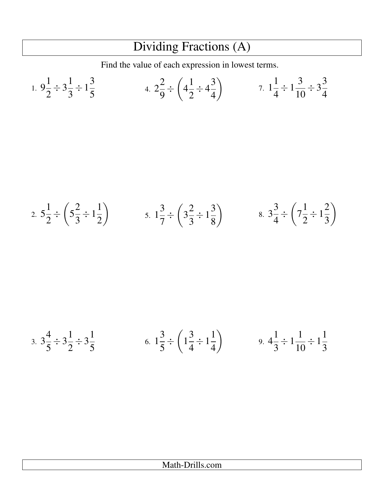## Dividing Fractions (A)

Find the value of each expression in lowest terms.

1. 
$$
9\frac{1}{2} \div 3\frac{1}{3} \div 1\frac{3}{5}
$$
  
4.  $2\frac{2}{9} \div \left(4\frac{1}{2} \div 4\frac{3}{4}\right)$   
7.  $1\frac{1}{4} \div 1\frac{3}{10} \div 3\frac{3}{4}$ 

2. 
$$
5\frac{1}{2} \div \left(5\frac{2}{3} \div 1\frac{1}{2}\right)
$$
 5.  $1\frac{3}{7} \div \left(3\frac{2}{3} \div 1\frac{3}{8}\right)$  8.  $3\frac{3}{4} \div \left(7\frac{1}{2} \div 1\frac{2}{3}\right)$ 

3. 
$$
3\frac{4}{5} \div 3\frac{1}{2} \div 3\frac{1}{5}
$$
 6.  $1\frac{3}{5} \div \left(1\frac{3}{4} \div 1\frac{1}{4}\right)$  9.  $4\frac{1}{3} \div 1\frac{1}{10} \div 1\frac{1}{3}$